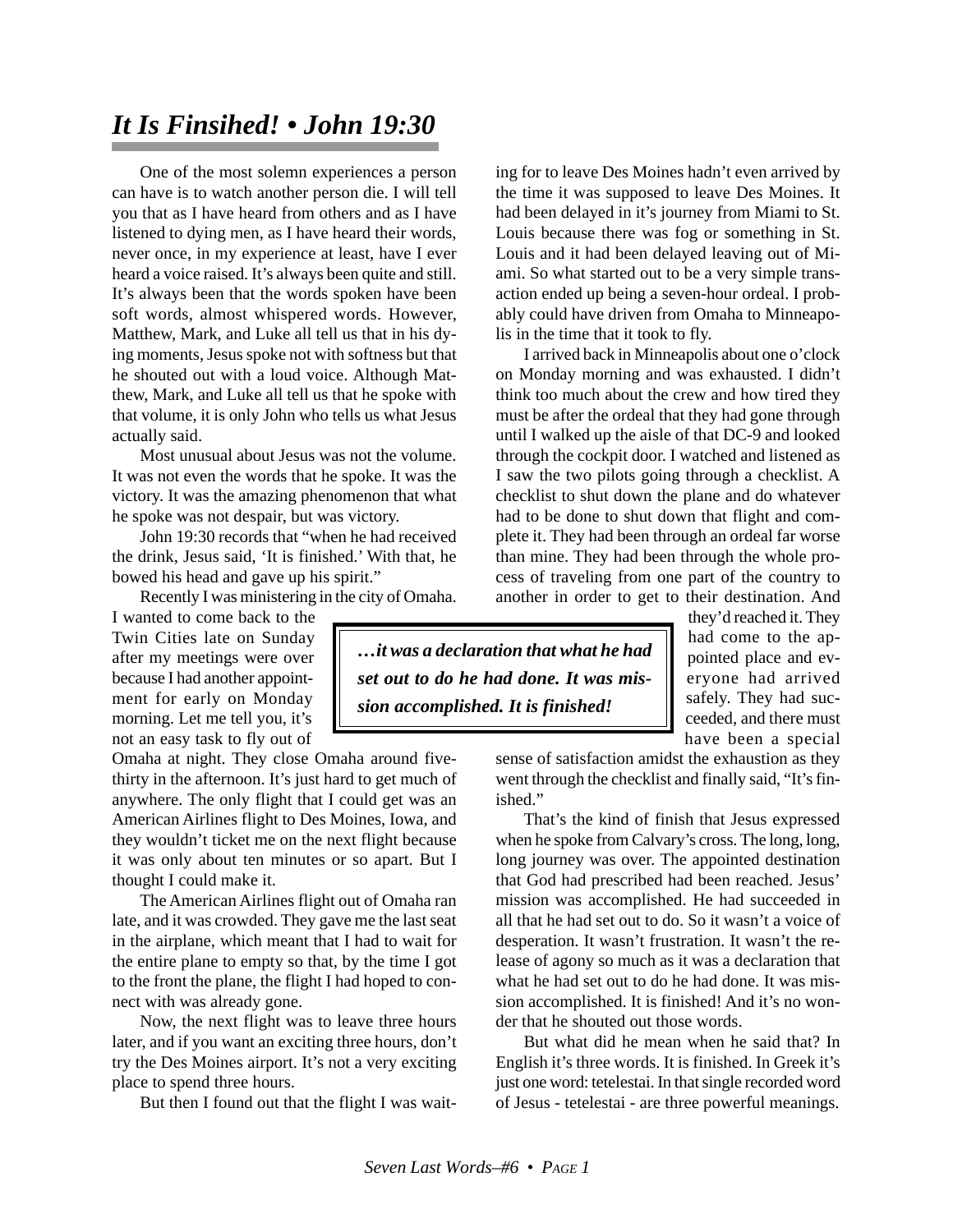## *It Is Finsihed! • John 19:30*

One of the most solemn experiences a person can have is to watch another person die. I will tell you that as I have heard from others and as I have listened to dying men, as I have heard their words, never once, in my experience at least, have I ever heard a voice raised. It's always been quite and still. It's always been that the words spoken have been soft words, almost whispered words. However, Matthew, Mark, and Luke all tell us that in his dying moments, Jesus spoke not with softness but that he shouted out with a loud voice. Although Matthew, Mark, and Luke all tell us that he spoke with that volume, it is only John who tells us what Jesus actually said.

Most unusual about Jesus was not the volume. It was not even the words that he spoke. It was the victory. It was the amazing phenomenon that what he spoke was not despair, but was victory.

John 19:30 records that "when he had received the drink, Jesus said, 'It is finished.' With that, he bowed his head and gave up his spirit."

Recently I was ministering in the city of Omaha.

I wanted to come back to the Twin Cities late on Sunday after my meetings were over because I had another appointment for early on Monday morning. Let me tell you, it's not an easy task to fly out of

Omaha at night. They close Omaha around fivethirty in the afternoon. It's just hard to get much of anywhere. The only flight that I could get was an American Airlines flight to Des Moines, Iowa, and they wouldn't ticket me on the next flight because it was only about ten minutes or so apart. But I thought I could make it.

The American Airlines flight out of Omaha ran late, and it was crowded. They gave me the last seat in the airplane, which meant that I had to wait for the entire plane to empty so that, by the time I got to the front the plane, the flight I had hoped to connect with was already gone.

Now, the next flight was to leave three hours later, and if you want an exciting three hours, don't try the Des Moines airport. It's not a very exciting place to spend three hours.

But then I found out that the flight I was wait-

ing for to leave Des Moines hadn't even arrived by the time it was supposed to leave Des Moines. It had been delayed in it's journey from Miami to St. Louis because there was fog or something in St. Louis and it had been delayed leaving out of Miami. So what started out to be a very simple transaction ended up being a seven-hour ordeal. I probably could have driven from Omaha to Minneapolis in the time that it took to fly.

I arrived back in Minneapolis about one o'clock on Monday morning and was exhausted. I didn't think too much about the crew and how tired they must be after the ordeal that they had gone through until I walked up the aisle of that DC-9 and looked through the cockpit door. I watched and listened as I saw the two pilots going through a checklist. A checklist to shut down the plane and do whatever had to be done to shut down that flight and complete it. They had been through an ordeal far worse than mine. They had been through the whole process of traveling from one part of the country to another in order to get to their destination. And

*…it was a declaration that what he had set out to do he had done. It was mission accomplished. It is finished!*

they'd reached it. They had come to the appointed place and everyone had arrived safely. They had succeeded, and there must have been a special

sense of satisfaction amidst the exhaustion as they went through the checklist and finally said, "It's finished."

That's the kind of finish that Jesus expressed when he spoke from Calvary's cross. The long, long, long journey was over. The appointed destination that God had prescribed had been reached. Jesus' mission was accomplished. He had succeeded in all that he had set out to do. So it wasn't a voice of desperation. It wasn't frustration. It wasn't the release of agony so much as it was a declaration that what he had set out to do he had done. It was mission accomplished. It is finished! And it's no wonder that he shouted out those words.

But what did he mean when he said that? In English it's three words. It is finished. In Greek it's just one word: tetelestai. In that single recorded word of Jesus - tetelestai - are three powerful meanings.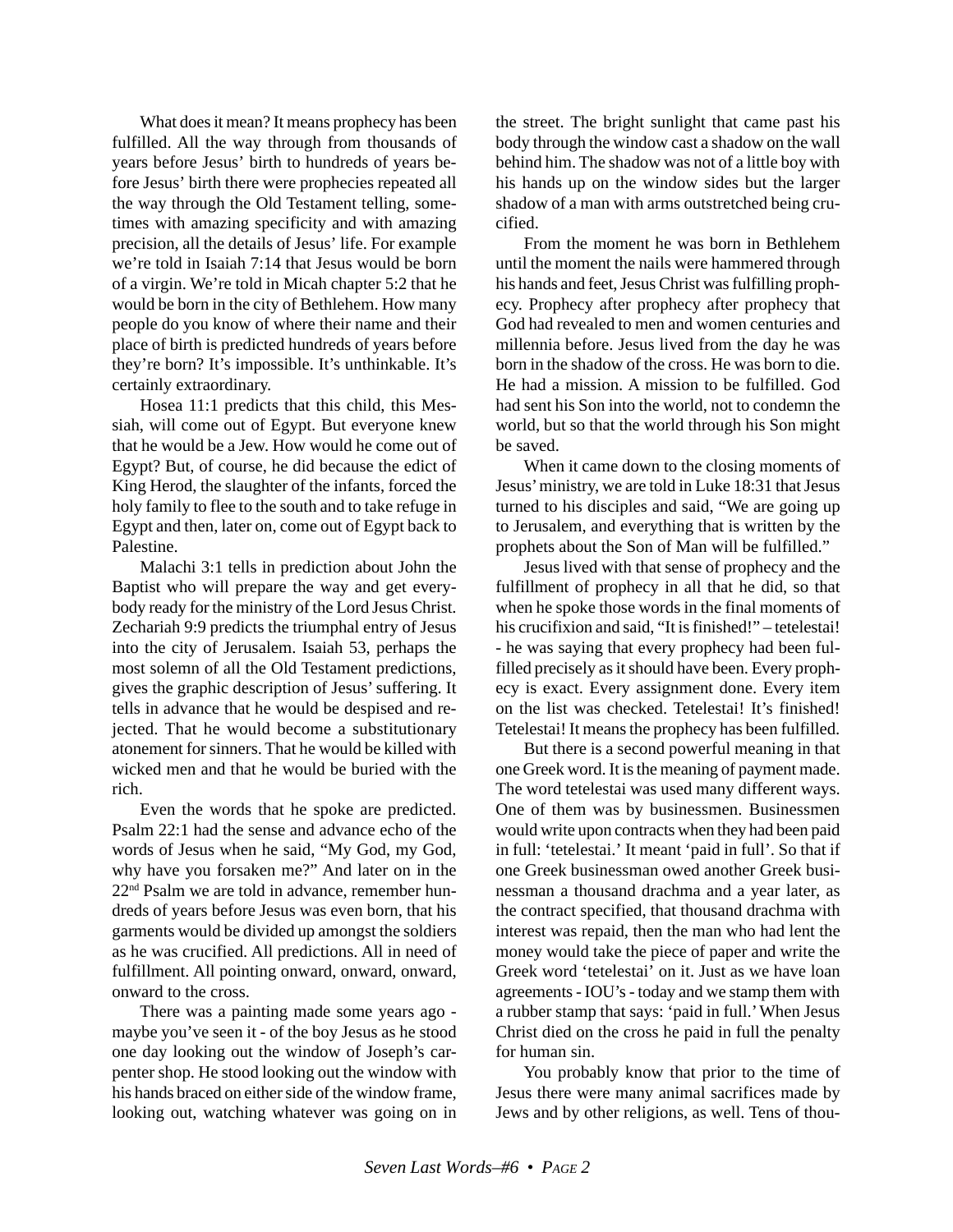What does it mean? It means prophecy has been fulfilled. All the way through from thousands of years before Jesus' birth to hundreds of years before Jesus' birth there were prophecies repeated all the way through the Old Testament telling, sometimes with amazing specificity and with amazing precision, all the details of Jesus' life. For example we're told in Isaiah 7:14 that Jesus would be born of a virgin. We're told in Micah chapter 5:2 that he would be born in the city of Bethlehem. How many people do you know of where their name and their place of birth is predicted hundreds of years before they're born? It's impossible. It's unthinkable. It's certainly extraordinary.

Hosea 11:1 predicts that this child, this Messiah, will come out of Egypt. But everyone knew that he would be a Jew. How would he come out of Egypt? But, of course, he did because the edict of King Herod, the slaughter of the infants, forced the holy family to flee to the south and to take refuge in Egypt and then, later on, come out of Egypt back to Palestine.

Malachi 3:1 tells in prediction about John the Baptist who will prepare the way and get everybody ready for the ministry of the Lord Jesus Christ. Zechariah 9:9 predicts the triumphal entry of Jesus into the city of Jerusalem. Isaiah 53, perhaps the most solemn of all the Old Testament predictions, gives the graphic description of Jesus' suffering. It tells in advance that he would be despised and rejected. That he would become a substitutionary atonement for sinners. That he would be killed with wicked men and that he would be buried with the rich.

Even the words that he spoke are predicted. Psalm 22:1 had the sense and advance echo of the words of Jesus when he said, "My God, my God, why have you forsaken me?" And later on in the 22nd Psalm we are told in advance, remember hundreds of years before Jesus was even born, that his garments would be divided up amongst the soldiers as he was crucified. All predictions. All in need of fulfillment. All pointing onward, onward, onward, onward to the cross.

There was a painting made some years ago maybe you've seen it - of the boy Jesus as he stood one day looking out the window of Joseph's carpenter shop. He stood looking out the window with his hands braced on either side of the window frame, looking out, watching whatever was going on in the street. The bright sunlight that came past his body through the window cast a shadow on the wall behind him. The shadow was not of a little boy with his hands up on the window sides but the larger shadow of a man with arms outstretched being crucified.

From the moment he was born in Bethlehem until the moment the nails were hammered through his hands and feet, Jesus Christ was fulfilling prophecy. Prophecy after prophecy after prophecy that God had revealed to men and women centuries and millennia before. Jesus lived from the day he was born in the shadow of the cross. He was born to die. He had a mission. A mission to be fulfilled. God had sent his Son into the world, not to condemn the world, but so that the world through his Son might be saved.

When it came down to the closing moments of Jesus' ministry, we are told in Luke 18:31 that Jesus turned to his disciples and said, "We are going up to Jerusalem, and everything that is written by the prophets about the Son of Man will be fulfilled."

Jesus lived with that sense of prophecy and the fulfillment of prophecy in all that he did, so that when he spoke those words in the final moments of his crucifixion and said, "It is finished!" – tetelestai! - he was saying that every prophecy had been fulfilled precisely as it should have been. Every prophecy is exact. Every assignment done. Every item on the list was checked. Tetelestai! It's finished! Tetelestai! It means the prophecy has been fulfilled.

But there is a second powerful meaning in that one Greek word. It is the meaning of payment made. The word tetelestai was used many different ways. One of them was by businessmen. Businessmen would write upon contracts when they had been paid in full: 'tetelestai.' It meant 'paid in full'. So that if one Greek businessman owed another Greek businessman a thousand drachma and a year later, as the contract specified, that thousand drachma with interest was repaid, then the man who had lent the money would take the piece of paper and write the Greek word 'tetelestai' on it. Just as we have loan agreements - IOU's - today and we stamp them with a rubber stamp that says: 'paid in full.' When Jesus Christ died on the cross he paid in full the penalty for human sin.

You probably know that prior to the time of Jesus there were many animal sacrifices made by Jews and by other religions, as well. Tens of thou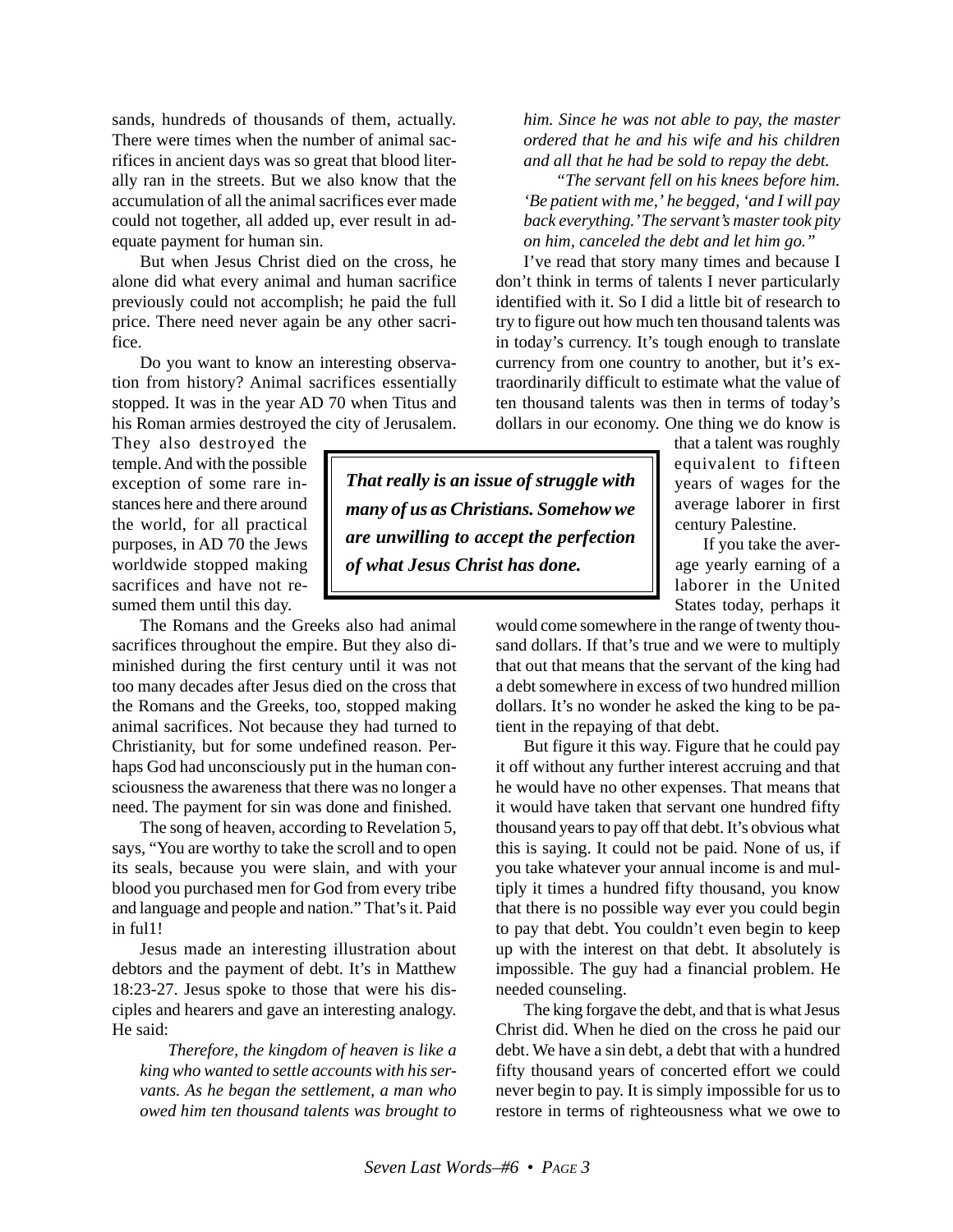sands, hundreds of thousands of them, actually. There were times when the number of animal sacrifices in ancient days was so great that blood literally ran in the streets. But we also know that the accumulation of all the animal sacrifices ever made could not together, all added up, ever result in adequate payment for human sin.

But when Jesus Christ died on the cross, he alone did what every animal and human sacrifice previously could not accomplish; he paid the full price. There need never again be any other sacrifice.

Do you want to know an interesting observation from history? Animal sacrifices essentially stopped. It was in the year AD 70 when Titus and his Roman armies destroyed the city of Jerusalem.

They also destroyed the temple. And with the possible exception of some rare instances here and there around the world, for all practical purposes, in AD 70 the Jews worldwide stopped making sacrifices and have not resumed them until this day.

The Romans and the Greeks also had animal sacrifices throughout the empire. But they also diminished during the first century until it was not too many decades after Jesus died on the cross that the Romans and the Greeks, too, stopped making animal sacrifices. Not because they had turned to Christianity, but for some undefined reason. Perhaps God had unconsciously put in the human consciousness the awareness that there was no longer a need. The payment for sin was done and finished.

The song of heaven, according to Revelation 5, says, "You are worthy to take the scroll and to open its seals, because you were slain, and with your blood you purchased men for God from every tribe and language and people and nation." That's it. Paid in ful1!

Jesus made an interesting illustration about debtors and the payment of debt. It's in Matthew 18:23-27. Jesus spoke to those that were his disciples and hearers and gave an interesting analogy. He said:

*Therefore, the kingdom of heaven is like a king who wanted to settle accounts with his servants. As he began the settlement, a man who owed him ten thousand talents was brought to* *him. Since he was not able to pay, the master ordered that he and his wife and his children and all that he had be sold to repay the debt.*

 *"The servant fell on his knees before him. 'Be patient with me,' he begged, 'and I will pay back everything.' The servant's master took pity on him, canceled the debt and let him go."*

I've read that story many times and because I don't think in terms of talents I never particularly identified with it. So I did a little bit of research to try to figure out how much ten thousand talents was in today's currency. It's tough enough to translate currency from one country to another, but it's extraordinarily difficult to estimate what the value of ten thousand talents was then in terms of today's dollars in our economy. One thing we do know is

*That really is an issue of struggle with many of us as Christians. Somehow we are unwilling to accept the perfection of what Jesus Christ has done.*

that a talent was roughly equivalent to fifteen years of wages for the average laborer in first century Palestine.

If you take the average yearly earning of a laborer in the United States today, perhaps it

would come somewhere in the range of twenty thousand dollars. If that's true and we were to multiply that out that means that the servant of the king had a debt somewhere in excess of two hundred million dollars. It's no wonder he asked the king to be patient in the repaying of that debt.

But figure it this way. Figure that he could pay it off without any further interest accruing and that he would have no other expenses. That means that it would have taken that servant one hundred fifty thousand years to pay off that debt. It's obvious what this is saying. It could not be paid. None of us, if you take whatever your annual income is and multiply it times a hundred fifty thousand, you know that there is no possible way ever you could begin to pay that debt. You couldn't even begin to keep up with the interest on that debt. It absolutely is impossible. The guy had a financial problem. He needed counseling.

The king forgave the debt, and that is what Jesus Christ did. When he died on the cross he paid our debt. We have a sin debt, a debt that with a hundred fifty thousand years of concerted effort we could never begin to pay. It is simply impossible for us to restore in terms of righteousness what we owe to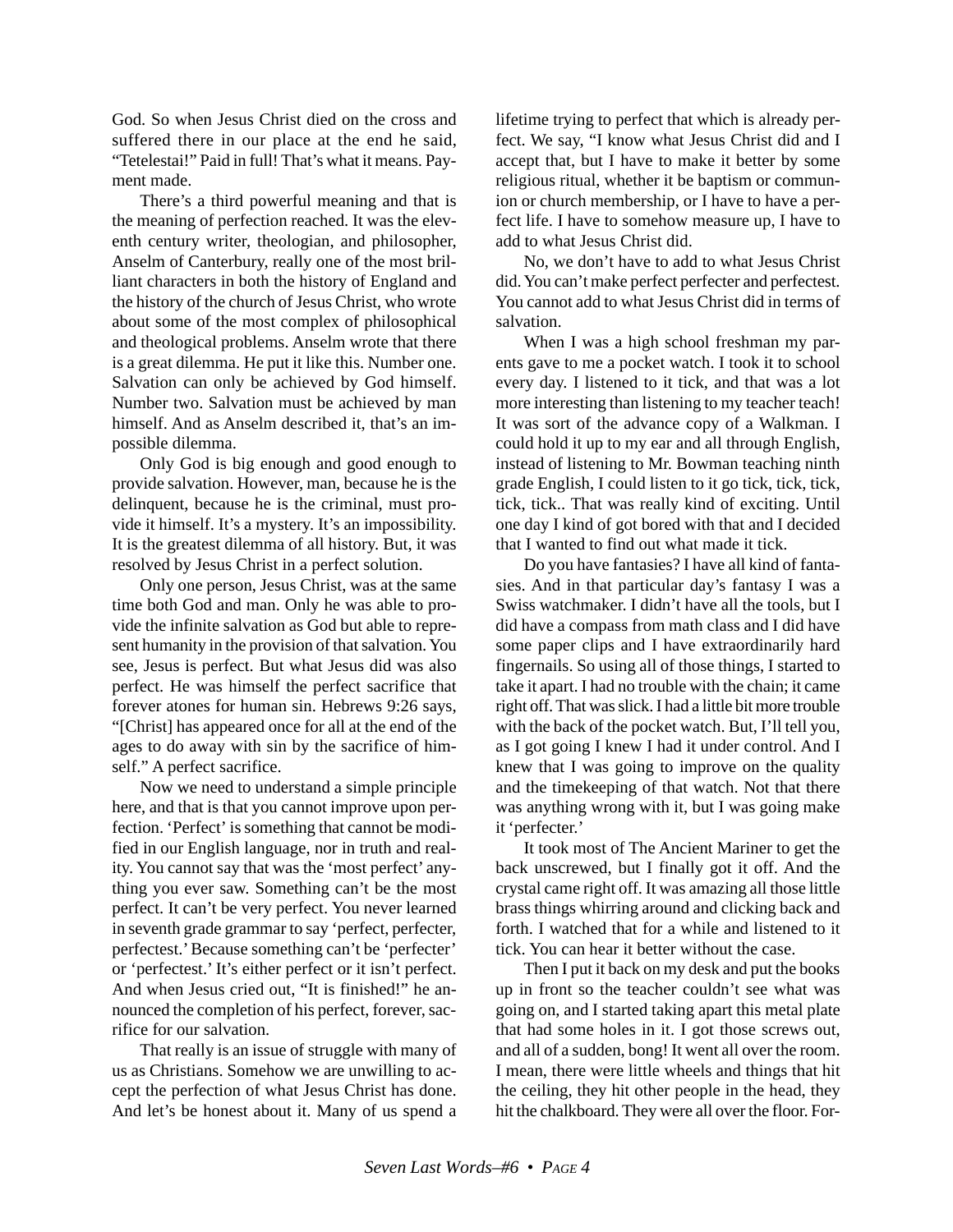God. So when Jesus Christ died on the cross and suffered there in our place at the end he said, "Tetelestai!" Paid in full! That's what it means. Payment made.

There's a third powerful meaning and that is the meaning of perfection reached. It was the eleventh century writer, theologian, and philosopher, Anselm of Canterbury, really one of the most brilliant characters in both the history of England and the history of the church of Jesus Christ, who wrote about some of the most complex of philosophical and theological problems. Anselm wrote that there is a great dilemma. He put it like this. Number one. Salvation can only be achieved by God himself. Number two. Salvation must be achieved by man himself. And as Anselm described it, that's an impossible dilemma.

Only God is big enough and good enough to provide salvation. However, man, because he is the delinquent, because he is the criminal, must provide it himself. It's a mystery. It's an impossibility. It is the greatest dilemma of all history. But, it was resolved by Jesus Christ in a perfect solution.

Only one person, Jesus Christ, was at the same time both God and man. Only he was able to provide the infinite salvation as God but able to represent humanity in the provision of that salvation. You see, Jesus is perfect. But what Jesus did was also perfect. He was himself the perfect sacrifice that forever atones for human sin. Hebrews 9:26 says, "[Christ] has appeared once for all at the end of the ages to do away with sin by the sacrifice of himself." A perfect sacrifice.

Now we need to understand a simple principle here, and that is that you cannot improve upon perfection. 'Perfect' is something that cannot be modified in our English language, nor in truth and reality. You cannot say that was the 'most perfect' anything you ever saw. Something can't be the most perfect. It can't be very perfect. You never learned in seventh grade grammar to say 'perfect, perfecter, perfectest.' Because something can't be 'perfecter' or 'perfectest.' It's either perfect or it isn't perfect. And when Jesus cried out, "It is finished!" he announced the completion of his perfect, forever, sacrifice for our salvation.

That really is an issue of struggle with many of us as Christians. Somehow we are unwilling to accept the perfection of what Jesus Christ has done. And let's be honest about it. Many of us spend a lifetime trying to perfect that which is already perfect. We say, "I know what Jesus Christ did and I accept that, but I have to make it better by some religious ritual, whether it be baptism or communion or church membership, or I have to have a perfect life. I have to somehow measure up, I have to add to what Jesus Christ did.

No, we don't have to add to what Jesus Christ did. You can't make perfect perfecter and perfectest. You cannot add to what Jesus Christ did in terms of salvation.

When I was a high school freshman my parents gave to me a pocket watch. I took it to school every day. I listened to it tick, and that was a lot more interesting than listening to my teacher teach! It was sort of the advance copy of a Walkman. I could hold it up to my ear and all through English, instead of listening to Mr. Bowman teaching ninth grade English, I could listen to it go tick, tick, tick, tick, tick.. That was really kind of exciting. Until one day I kind of got bored with that and I decided that I wanted to find out what made it tick.

Do you have fantasies? I have all kind of fantasies. And in that particular day's fantasy I was a Swiss watchmaker. I didn't have all the tools, but I did have a compass from math class and I did have some paper clips and I have extraordinarily hard fingernails. So using all of those things, I started to take it apart. I had no trouble with the chain; it came right off. That was slick. I had a little bit more trouble with the back of the pocket watch. But, I'll tell you, as I got going I knew I had it under control. And I knew that I was going to improve on the quality and the timekeeping of that watch. Not that there was anything wrong with it, but I was going make it 'perfecter.'

It took most of The Ancient Mariner to get the back unscrewed, but I finally got it off. And the crystal came right off. It was amazing all those little brass things whirring around and clicking back and forth. I watched that for a while and listened to it tick. You can hear it better without the case.

Then I put it back on my desk and put the books up in front so the teacher couldn't see what was going on, and I started taking apart this metal plate that had some holes in it. I got those screws out, and all of a sudden, bong! It went all over the room. I mean, there were little wheels and things that hit the ceiling, they hit other people in the head, they hit the chalkboard. They were all over the floor. For